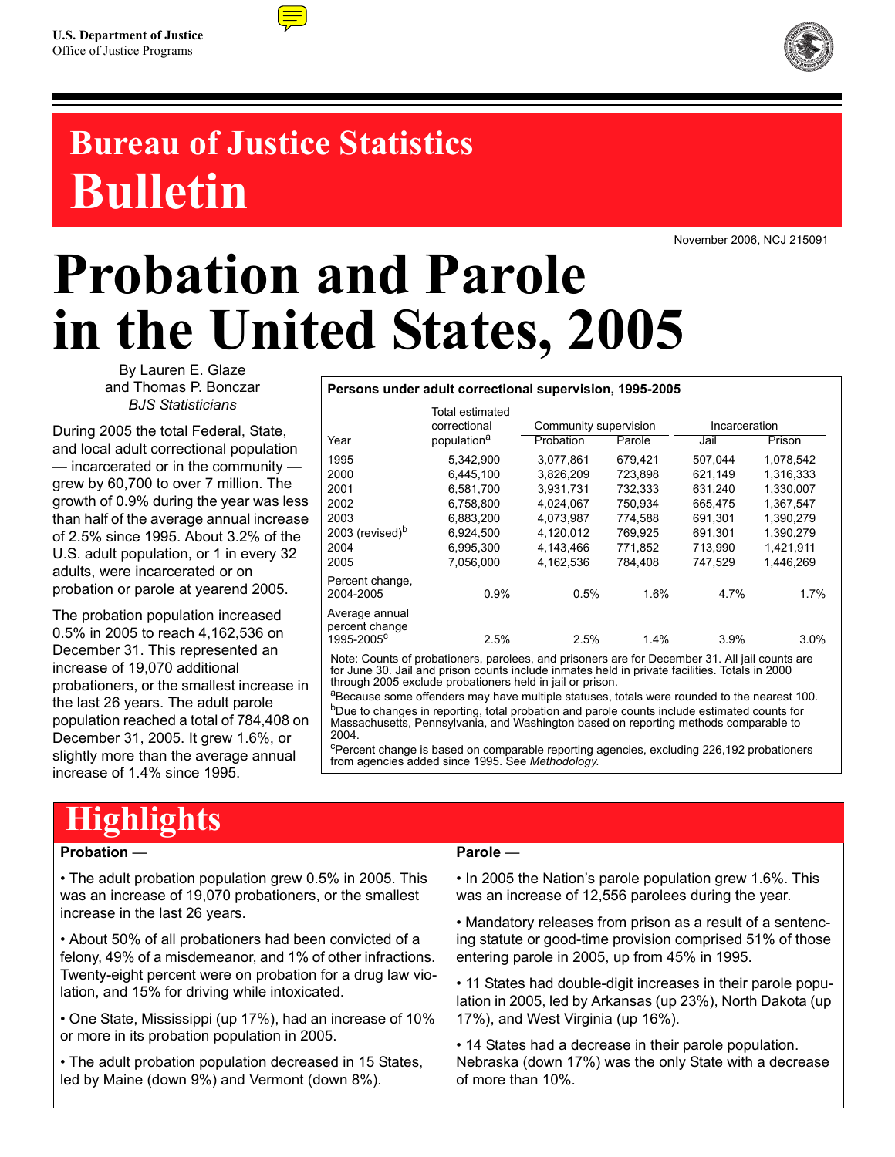

## **Bureau of Justice Statistics Bulletin**

November 2006, NCJ 215091

# **Probation and Parole in the United States, 2005**

By Lauren E. Glaze and Thomas P. Bonczar *BJS Statisticians*

During 2005 the total Federal, State, and local adult correctional population — incarcerated or in the community grew by 60,700 to over 7 million. The growth of 0.9% during the year was less than half of the average annual increase of 2.5% since 1995. About 3.2% of the U.S. adult population, or 1 in every 32 adults, were incarcerated or on probation or parole at yearend 2005.

The probation population increased 0.5% in 2005 to reach 4,162,536 on December 31. This represented an increase of 19,070 additional probationers, or the smallest increase in the last 26 years. The adult parole population reached a total of 784,408 on December 31, 2005. It grew 1.6%, or slightly more than the average annual increase of 1.4% since 1995.

#### **Persons under adult correctional supervision, 1995-2005**

|                                  | Total estimated<br>correctional | Community supervision |         | Incarceration |           |
|----------------------------------|---------------------------------|-----------------------|---------|---------------|-----------|
| Year                             | population <sup>a</sup>         | Probation             | Parole  | Jail          | Prison    |
| 1995                             | 5,342,900                       | 3.077.861             | 679,421 | 507,044       | 1,078,542 |
| 2000                             | 6.445.100                       | 3.826.209             | 723.898 | 621.149       | 1,316,333 |
| 2001                             | 6.581.700                       | 3.931.731             | 732,333 | 631,240       | 1.330.007 |
| 2002                             | 6,758,800                       | 4.024.067             | 750.934 | 665.475       | 1.367.547 |
| 2003                             | 6.883.200                       | 4.073.987             | 774.588 | 691.301       | 1.390.279 |
| 2003 (revised) <sup>b</sup>      | 6,924,500                       | 4,120,012             | 769,925 | 691,301       | 1.390.279 |
| 2004                             | 6,995,300                       | 4.143.466             | 771.852 | 713.990       | 1.421.911 |
| 2005                             | 7.056.000                       | 4.162.536             | 784.408 | 747.529       | 1.446.269 |
| Percent change,<br>2004-2005     | 0.9%                            | 0.5%                  | 1.6%    | 4.7%          | 1.7%      |
| Average annual<br>percent change |                                 |                       |         |               |           |
| 1995-2005 <sup>c</sup>           | 2.5%                            | 2.5%                  | 1.4%    | 3.9%          | 3.0%      |

Note: Counts of probationers, parolees, and prisoners are for December 31. All jail counts are for June 30. Jail and prison counts include inmates held in private facilities. Totals in 2000 through 2005 exclude probationers held in jail or prison.

aBecause some offenders may have multiple statuses, totals were rounded to the nearest 100. <sup>b</sup>Due to changes in reporting, total probation and parole counts include estimated counts for Massachusetts, Pennsylvania, and Washington based on reporting methods comparable to 2004.

<sup>c</sup>Percent change is based on comparable reporting agencies, excluding 226,192 probationers from agencies added since 1995. See *Methodology*.

### **Highlights**

#### **Probation** —

• The adult probation population grew 0.5% in 2005. This was an increase of 19,070 probationers, or the smallest increase in the last 26 years.

• About 50% of all probationers had been convicted of a felony, 49% of a misdemeanor, and 1% of other infractions. Twenty-eight percent were on probation for a drug law violation, and 15% for driving while intoxicated.

• One State, Mississippi (up 17%), had an increase of 10% or more in its probation population in 2005.

• The adult probation population decreased in 15 States, led by Maine (down 9%) and Vermont (down 8%).

#### **Parole** —

• In 2005 the Nation's parole population grew 1.6%. This was an increase of 12,556 parolees during the year.

• Mandatory releases from prison as a result of a sentencing statute or good-time provision comprised 51% of those entering parole in 2005, up from 45% in 1995.

• 11 States had double-digit increases in their parole population in 2005, led by Arkansas (up 23%), North Dakota (up 17%), and West Virginia (up 16%).

• 14 States had a decrease in their parole population. Nebraska (down 17%) was the only State with a decrease of more than 10%.

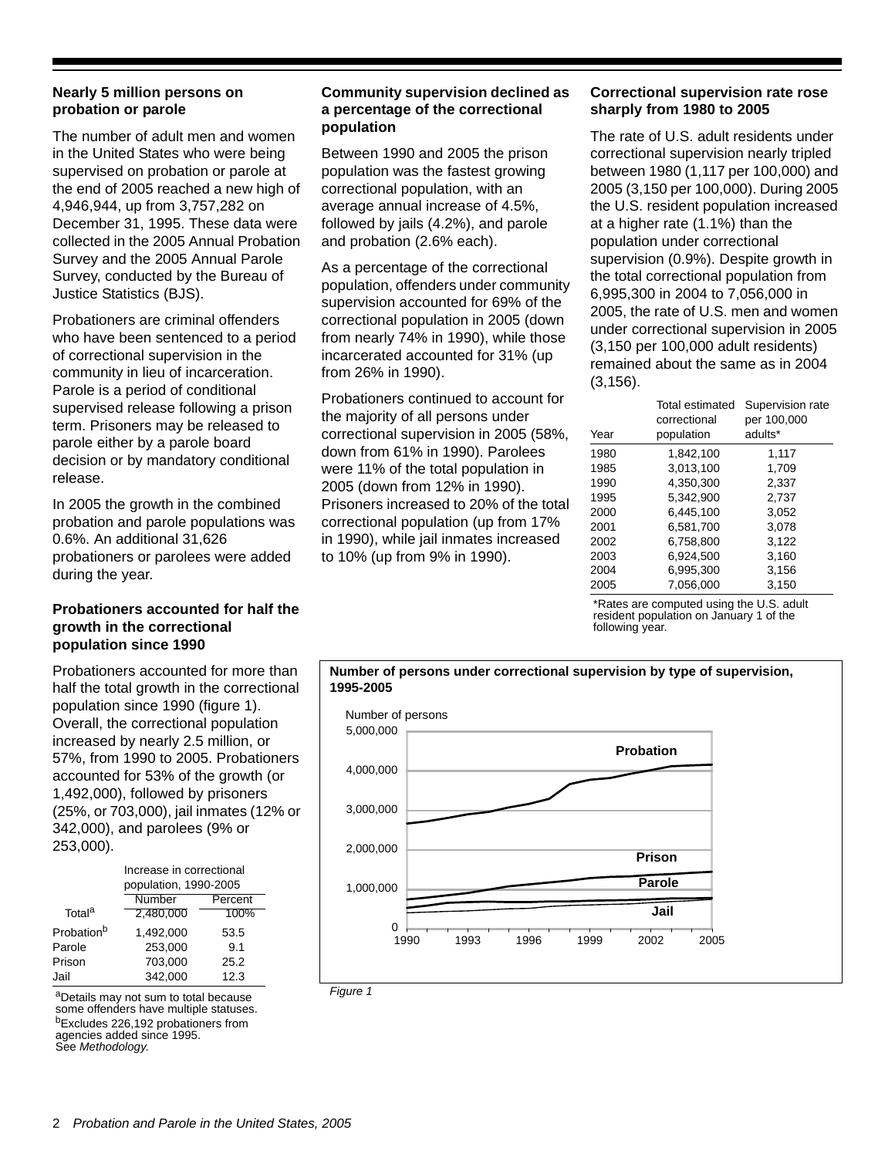#### **Nearly 5 million persons on probation or parole**

The number of adult men and women in the United States who were being supervised on probation or parole at the end of 2005 reached a new high of 4,946,944, up from 3,757,282 on December 31, 1995. These data were collected in the 2005 Annual Probation Survey and the 2005 Annual Parole Survey, conducted by the Bureau of Justice Statistics (BJS).

Probationers are criminal offenders who have been sentenced to a period of correctional supervision in the community in lieu of incarceration. Parole is a period of conditional supervised release following a prison term. Prisoners may be released to parole either by a parole board decision or by mandatory conditional release.

In 2005 the growth in the combined probation and parole populations was 0.6%. An additional 31,626 probationers or parolees were added during the year.

#### **Probationers accounted for half the growth in the correctional population since 1990**

Probationers accounted for more than half the total growth in the correctional population since 1990 (figure 1). Overall, the correctional population increased by nearly 2.5 million, or 57%, from 1990 to 2005. Probationers accounted for 53% of the growth (or 1,492,000), followed by prisoners (25%, or 703,000), jail inmates (12% or 342,000), and parolees (9% or 253,000).

|                        | Increase in correctional<br>population, 1990-2005 |      |  |  |  |  |
|------------------------|---------------------------------------------------|------|--|--|--|--|
|                        | Number<br>Percent                                 |      |  |  |  |  |
| Total <sup>a</sup>     | 2,480,000                                         | 100% |  |  |  |  |
| Probation <sup>b</sup> | 1.492.000                                         | 53.5 |  |  |  |  |
| Parole                 | 253,000                                           | 9.1  |  |  |  |  |
| Prison                 | 703,000                                           | 25.2 |  |  |  |  |
| Jail                   | 342,000                                           | 12.3 |  |  |  |  |

aDetails may not sum to total because some offenders have multiple statuses. bExcludes 226,192 probationers from agencies added since 1995. See *Methodology*.

#### **Community supervision declined as a percentage of the correctional population**

Between 1990 and 2005 the prison population was the fastest growing correctional population, with an average annual increase of 4.5%, followed by jails (4.2%), and parole and probation (2.6% each).

As a percentage of the correctional population, offenders under community supervision accounted for 69% of the correctional population in 2005 (down from nearly 74% in 1990), while those incarcerated accounted for 31% (up from 26% in 1990).

Probationers continued to account for the majority of all persons under correctional supervision in 2005 (58%, down from 61% in 1990). Parolees were 11% of the total population in 2005 (down from 12% in 1990). Prisoners increased to 20% of the total correctional population (up from 17% in 1990), while jail inmates increased to 10% (up from 9% in 1990).

#### **Correctional supervision rate rose sharply from 1980 to 2005**

The rate of U.S. adult residents under correctional supervision nearly tripled between 1980 (1,117 per 100,000) and 2005 (3,150 per 100,000). During 2005 the U.S. resident population increased at a higher rate (1.1%) than the population under correctional supervision (0.9%). Despite growth in the total correctional population from 6,995,300 in 2004 to 7,056,000 in 2005, the rate of U.S. men and women under correctional supervision in 2005 (3,150 per 100,000 adult residents) remained about the same as in 2004 (3,156).

| Year | Total estimated<br>correctional<br>population | Supervision rate<br>per 100,000<br>adults* |
|------|-----------------------------------------------|--------------------------------------------|
| 1980 | 1,842,100                                     | 1,117                                      |
| 1985 | 3,013,100                                     | 1,709                                      |
| 1990 | 4,350,300                                     | 2,337                                      |
| 1995 | 5.342.900                                     | 2,737                                      |
| 2000 | 6.445.100                                     | 3,052                                      |
| 2001 | 6,581,700                                     | 3.078                                      |
| 2002 | 6.758.800                                     | 3,122                                      |
| 2003 | 6.924.500                                     | 3,160                                      |
| 2004 | 6.995.300                                     | 3,156                                      |
| 2005 | 7,056,000                                     | 3,150                                      |

\*Rates are computed using the U.S. adult resident population on January 1 of the following year.



**Number of persons under correctional supervision by type of supervision,** 

*Figure 1*

**1995-2005**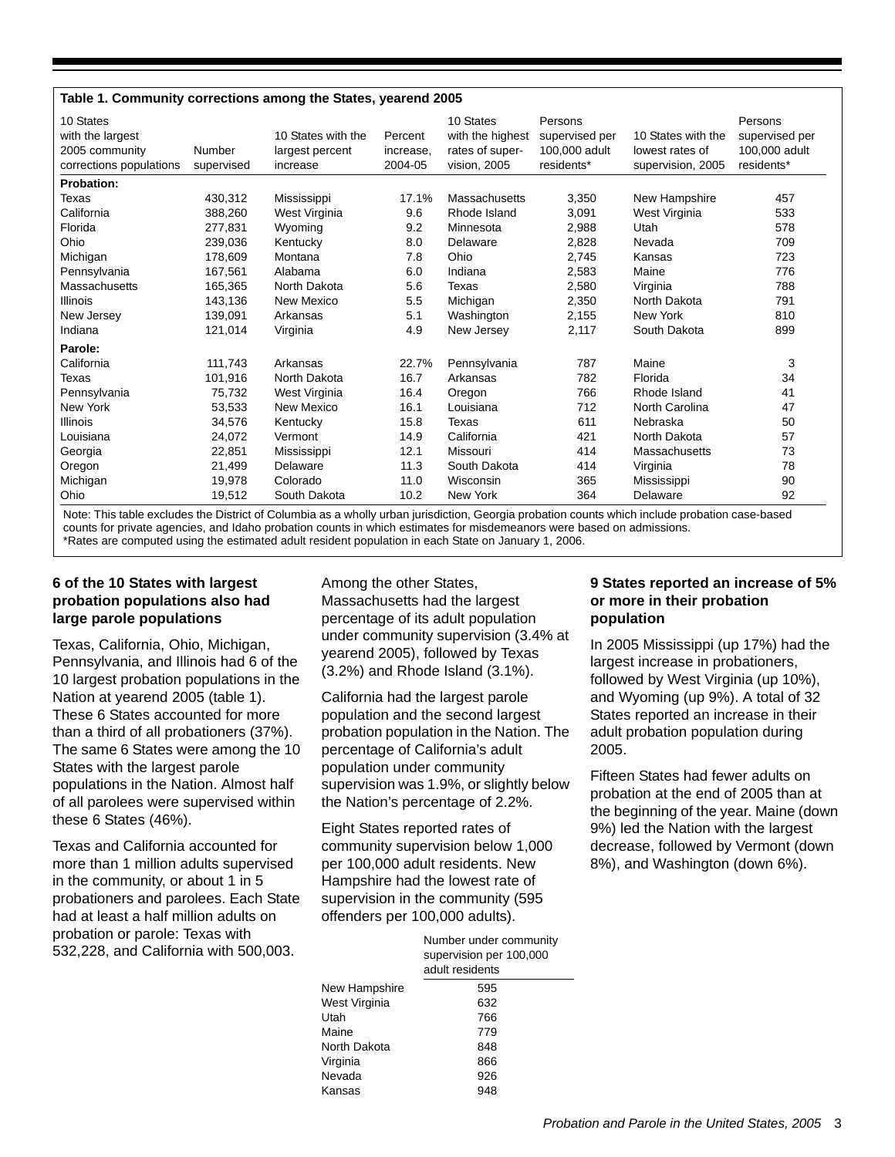#### **Table 1. Community corrections among the States, yearend 2005**

| Number<br>supervised | 10 States with the<br>largest percent<br>increase | Percent<br>increase,<br>2004-05 | 10 States<br>with the highest<br>rates of super-<br>vision, 2005 | Persons<br>supervised per<br>100,000 adult<br>residents* | 10 States with the<br>lowest rates of<br>supervision, 2005 | Persons<br>supervised per<br>100,000 adult<br>residents* |
|----------------------|---------------------------------------------------|---------------------------------|------------------------------------------------------------------|----------------------------------------------------------|------------------------------------------------------------|----------------------------------------------------------|
|                      |                                                   |                                 |                                                                  |                                                          |                                                            |                                                          |
| 430,312              | Mississippi                                       | 17.1%                           | Massachusetts                                                    | 3,350                                                    | New Hampshire                                              | 457                                                      |
| 388,260              | West Virginia                                     | 9.6                             | Rhode Island                                                     | 3,091                                                    | West Virginia                                              | 533                                                      |
| 277,831              | Wyoming                                           | 9.2                             | Minnesota                                                        | 2,988                                                    | Utah                                                       | 578                                                      |
| 239,036              | Kentucky                                          | 8.0                             | Delaware                                                         | 2,828                                                    | Nevada                                                     | 709                                                      |
| 178,609              | Montana                                           | 7.8                             | Ohio                                                             | 2,745                                                    | Kansas                                                     | 723                                                      |
| 167.561              | Alabama                                           | 6.0                             | Indiana                                                          | 2,583                                                    | Maine                                                      | 776                                                      |
| 165,365              | North Dakota                                      | 5.6                             | Texas                                                            | 2,580                                                    | Virginia                                                   | 788                                                      |
| 143,136              | New Mexico                                        | 5.5                             | Michigan                                                         | 2,350                                                    | North Dakota                                               | 791                                                      |
| 139.091              | Arkansas                                          | 5.1                             | Washington                                                       | 2,155                                                    | New York                                                   | 810                                                      |
| 121,014              | Virginia                                          | 4.9                             | New Jersey                                                       | 2,117                                                    | South Dakota                                               | 899                                                      |
|                      |                                                   |                                 |                                                                  |                                                          |                                                            |                                                          |
| 111,743              | Arkansas                                          | 22.7%                           | Pennsylvania                                                     | 787                                                      | Maine                                                      | 3                                                        |
| 101,916              | North Dakota                                      | 16.7                            | Arkansas                                                         | 782                                                      | Florida                                                    | 34                                                       |
| 75,732               | West Virginia                                     | 16.4                            | Oregon                                                           | 766                                                      | Rhode Island                                               | 41                                                       |
| 53,533               | New Mexico                                        | 16.1                            | Louisiana                                                        | 712                                                      | North Carolina                                             | 47                                                       |
| 34,576               | Kentucky                                          | 15.8                            | Texas                                                            | 611                                                      | Nebraska                                                   | 50                                                       |
| 24,072               | Vermont                                           | 14.9                            | California                                                       | 421                                                      | North Dakota                                               | 57                                                       |
| 22,851               | Mississippi                                       | 12.1                            | Missouri                                                         | 414                                                      | Massachusetts                                              | 73                                                       |
| 21,499               | Delaware                                          | 11.3                            | South Dakota                                                     | 414                                                      | Virginia                                                   | 78                                                       |
| 19,978               | Colorado                                          | 11.0                            | Wisconsin                                                        | 365                                                      | Mississippi                                                | 90                                                       |
| 19,512               | South Dakota                                      | 10.2                            | New York                                                         | 364                                                      | Delaware                                                   | 92                                                       |
|                      |                                                   |                                 |                                                                  |                                                          |                                                            |                                                          |

Note: This table excludes the District of Columbia as a wholly urban jurisdiction, Georgia probation counts which include probation case-based counts for private agencies, and Idaho probation counts in which estimates for misdemeanors were based on admissions. \*Rates are computed using the estimated adult resident population in each State on January 1, 2006.

#### **6 of the 10 States with largest probation populations also had large parole populations**

Texas, California, Ohio, Michigan, Pennsylvania, and Illinois had 6 of the 10 largest probation populations in the Nation at yearend 2005 (table 1). These 6 States accounted for more than a third of all probationers (37%). The same 6 States were among the 10 States with the largest parole populations in the Nation. Almost half of all parolees were supervised within these 6 States (46%).

Texas and California accounted for more than 1 million adults supervised in the community, or about 1 in 5 probationers and parolees. Each State had at least a half million adults on probation or parole: Texas with 532,228, and California with 500,003.

Among the other States, Massachusetts had the largest percentage of its adult population under community supervision (3.4% at yearend 2005), followed by Texas (3.2%) and Rhode Island (3.1%).

California had the largest parole population and the second largest probation population in the Nation. The percentage of California's adult population under community supervision was 1.9%, or slightly below the Nation's percentage of 2.2%.

Eight States reported rates of community supervision below 1,000 per 100,000 adult residents. New Hampshire had the lowest rate of supervision in the community (595 offenders per 100,000 adults).

|               | Number under community<br>supervision per 100,000<br>adult residents |  |  |
|---------------|----------------------------------------------------------------------|--|--|
| New Hampshire | 595                                                                  |  |  |
| West Virginia | 632                                                                  |  |  |
| Utah          | 766                                                                  |  |  |
| Maine         | 779                                                                  |  |  |
| North Dakota  | 848                                                                  |  |  |
| Virginia      | 866                                                                  |  |  |
| Nevada        | 926                                                                  |  |  |
| Kansas        | 948                                                                  |  |  |
|               |                                                                      |  |  |

#### **9 States reported an increase of 5% or more in their probation population**

In 2005 Mississippi (up 17%) had the largest increase in probationers, followed by West Virginia (up 10%), and Wyoming (up 9%). A total of 32 States reported an increase in their adult probation population during 2005.

Fifteen States had fewer adults on probation at the end of 2005 than at the beginning of the year. Maine (down 9%) led the Nation with the largest decrease, followed by Vermont (down 8%), and Washington (down 6%).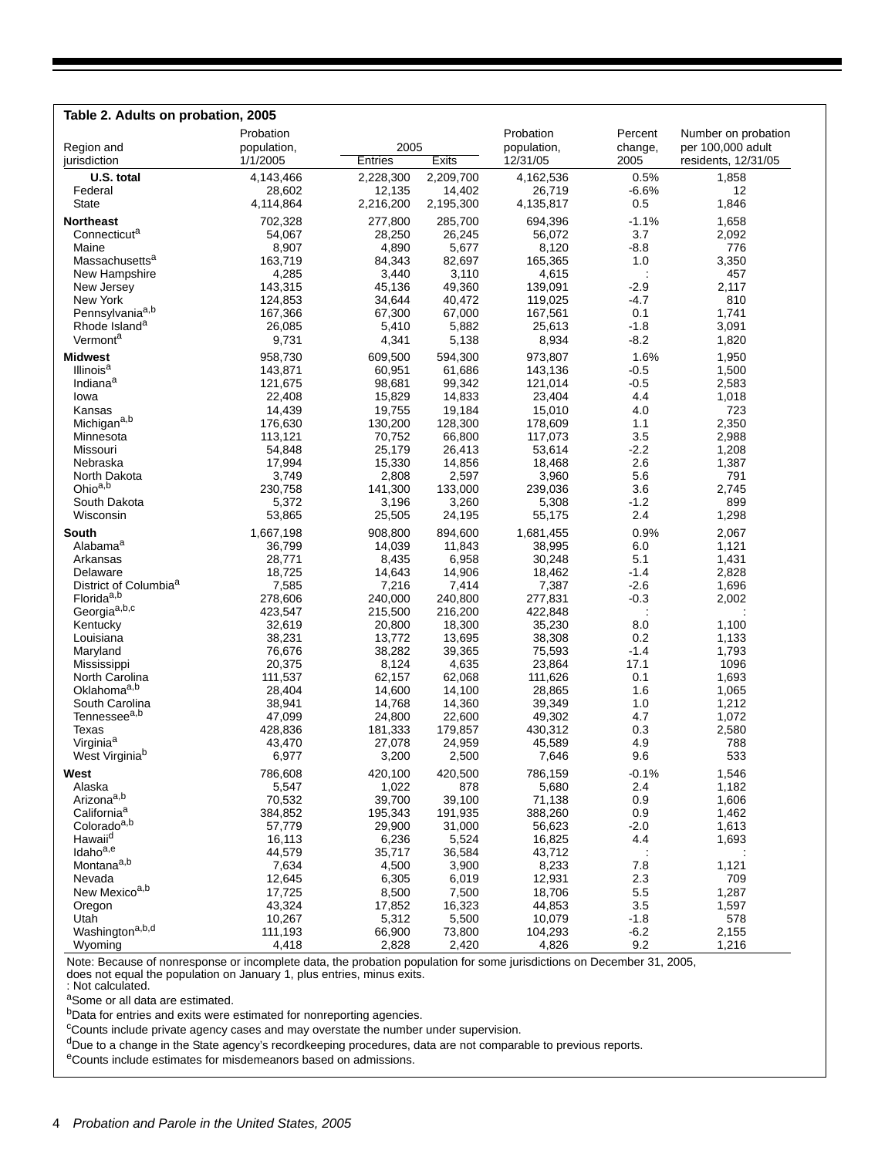| Table 2. Adults on probation, 2005                          |                    |                   |                    |                    |                          |                     |
|-------------------------------------------------------------|--------------------|-------------------|--------------------|--------------------|--------------------------|---------------------|
|                                                             | Probation          |                   |                    | Probation          | Percent                  | Number on probation |
| Region and                                                  | population,        | 2005              |                    | population,        | change,                  | per 100,000 adult   |
| jurisdiction                                                | 1/1/2005           | Entries           | Exits              | 12/31/05           | 2005                     | residents, 12/31/05 |
| U.S. total                                                  | 4,143,466          | 2,228,300         | 2,209,700          | 4,162,536          | 0.5%                     | 1,858               |
| Federal                                                     | 28.602             | 12,135            | 14,402             | 26.719             | $-6.6%$                  | 12                  |
| State                                                       | 4,114,864          | 2,216,200         | 2,195,300          | 4,135,817          | 0.5                      | 1,846               |
| <b>Northeast</b>                                            | 702,328            | 277,800           | 285,700            | 694,396            | $-1.1%$                  | 1,658               |
| Connecticuta                                                | 54,067             | 28,250            | 26,245             | 56,072             | 3.7                      | 2,092               |
| Maine                                                       | 8,907              | 4,890             | 5,677              | 8,120              | $-8.8$                   | 776                 |
| Massachusetts <sup>a</sup>                                  | 163,719            | 84,343            | 82,697             | 165,365            | 1.0                      | 3,350               |
| New Hampshire                                               | 4,285              | 3,440             | 3,110              | 4,615              | ÷                        | 457                 |
| New Jersey                                                  | 143,315            | 45,136            | 49,360             | 139,091            | $-2.9$                   | 2,117               |
| New York<br>Pennsylvaniaa,b                                 | 124,853            | 34,644            | 40,472             | 119,025            | $-4.7$                   | 810                 |
| Rhode Island <sup>a</sup>                                   | 167,366<br>26,085  | 67,300<br>5,410   | 67,000<br>5,882    | 167,561<br>25,613  | 0.1<br>$-1.8$            | 1,741<br>3,091      |
| Vermonta                                                    | 9,731              | 4,341             | 5,138              | 8,934              | $-8.2$                   | 1,820               |
|                                                             |                    |                   |                    |                    |                          |                     |
| <b>Midwest</b><br>Illinois <sup>a</sup>                     | 958,730<br>143,871 | 609,500           | 594,300            | 973,807            | 1.6%<br>$-0.5$           | 1,950<br>1,500      |
| Indiana <sup>a</sup>                                        | 121,675            | 60,951<br>98,681  | 61,686<br>99,342   | 143,136<br>121,014 | $-0.5$                   | 2,583               |
| lowa                                                        | 22.408             | 15,829            | 14,833             | 23,404             | 4.4                      | 1,018               |
| Kansas                                                      | 14,439             | 19,755            | 19,184             | 15,010             | 4.0                      | 723                 |
| Michigana,b                                                 | 176,630            | 130,200           | 128,300            | 178,609            | 1.1                      | 2,350               |
| Minnesota                                                   | 113,121            | 70,752            | 66,800             | 117,073            | 3.5                      | 2,988               |
| Missouri                                                    | 54,848             | 25,179            | 26,413             | 53,614             | $-2.2$                   | 1,208               |
| Nebraska                                                    | 17,994             | 15,330            | 14,856             | 18,468             | 2.6                      | 1,387               |
| North Dakota                                                | 3,749              | 2,808             | 2,597              | 3,960              | 5.6                      | 791                 |
| Ohio <sup>a,b</sup>                                         | 230,758            | 141,300           | 133,000            | 239,036            | 3.6                      | 2,745               |
| South Dakota                                                | 5,372              | 3,196             | 3,260              | 5,308              | $-1.2$                   | 899                 |
| Wisconsin                                                   | 53,865             | 25,505            | 24,195             | 55,175             | 2.4                      | 1,298               |
| South                                                       | 1,667,198          | 908,800           | 894,600            | 1,681,455          | 0.9%                     | 2,067               |
| Alabama <sup>a</sup>                                        | 36,799             | 14,039            | 11,843             | 38,995             | 6.0                      | 1,121               |
| Arkansas                                                    | 28,771             | 8,435             | 6,958              | 30,248             | 5.1                      | 1,431               |
| Delaware                                                    | 18,725             | 14,643            | 14,906             | 18,462             | $-1.4$                   | 2,828               |
| District of Columbia <sup>a</sup><br>Florida <sup>a,b</sup> | 7,585              | 7,216             | 7,414              | 7,387              | $-2.6$                   | 1,696               |
| Georgia <sup>a,b,c</sup>                                    | 278,606<br>423,547 | 240,000           | 240,800<br>216,200 | 277,831<br>422,848 | $-0.3$<br>$\ddot{\cdot}$ | 2,002               |
| Kentucky                                                    | 32,619             | 215,500<br>20,800 | 18,300             | 35,230             | 8.0                      | 1,100               |
| Louisiana                                                   | 38,231             | 13,772            | 13,695             | 38,308             | 0.2                      | 1,133               |
| Maryland                                                    | 76,676             | 38,282            | 39,365             | 75,593             | $-1.4$                   | 1,793               |
| Mississippi                                                 | 20,375             | 8,124             | 4,635              | 23,864             | 17.1                     | 1096                |
| North Carolina                                              | 111,537            | 62,157            | 62,068             | 111,626            | 0.1                      | 1,693               |
| Oklahoma <sup>a,b</sup>                                     | 28,404             | 14,600            | 14,100             | 28,865             | 1.6                      | 1,065               |
| South Carolina                                              | 38,941             | 14,768            | 14,360             | 39,349             | 1.0                      | 1,212               |
| Tennessee <sup>a,b</sup>                                    | 47,099             | 24,800            | 22,600             | 49,302             | 4.7                      | 1,072               |
| Texas                                                       | 428,836            | 181,333           | 179,857            | 430,312            | 0.3                      | 2,580               |
| Virginia <sup>a</sup>                                       | 43,470             | 27,078            | 24,959             | 45,589             | 4.9                      | 788                 |
| West Virginiab                                              | 6,977              | 3,200             | 2,500              | 7,646              | 9.6                      | 533                 |
| West                                                        | 786,608            | 420,100           | 420,500            | 786,159            | $-0.1%$                  | 1,546               |
| Alaska                                                      | 5,547              | 1,022             | 878                | 5,680              | 2.4                      | 1,182               |
| Arizonaa,b                                                  | 70,532             | 39,700            | 39,100             | 71,138             | 0.9                      | 1,606               |
| California <sup>a</sup>                                     | 384,852            | 195,343           | 191,935            | 388,260            | 0.9                      | 1,462               |
| Coloradoa,b<br>Hawaii <sup>d</sup>                          | 57,779<br>16,113   | 29,900<br>6,236   | 31,000<br>5,524    | 56,623<br>16,825   | $-2.0$<br>4.4            | 1,613<br>1,693      |
| Idahoa,e                                                    | 44,579             | 35,717            | 36,584             | 43,712             | $\ddot{\phantom{a}}$     |                     |
| Montana <sup>a,b</sup>                                      | 7,634              | 4,500             | 3,900              | 8,233              | 7.8                      | 1,121               |
| Nevada                                                      | 12,645             | 6,305             | 6,019              | 12,931             | 2.3                      | 709                 |
| New Mexicoa,b                                               | 17,725             | 8,500             | 7,500              | 18,706             | 5.5                      | 1,287               |
| Oregon                                                      | 43,324             | 17,852            | 16,323             | 44,853             | 3.5                      | 1,597               |
| Utah                                                        | 10,267             | 5,312             | 5,500              | 10,079             | $-1.8$                   | 578                 |
| Washingtona,b,d                                             | 111,193            | 66,900            | 73,800             | 104,293            | $-6.2$                   | 2,155               |
| Wyoming                                                     | 4,418              | 2,828             | 2,420              | 4,826              | 9.2                      | 1,216               |

Note: Because of nonresponse or incomplete data, the probation population for some jurisdictions on December 31, 2005, does not equal the population on January 1, plus entries, minus exits. : Not calculated.

aSome or all data are estimated.

bData for entries and exits were estimated for nonreporting agencies.

<sup>c</sup>Counts include private agency cases and may overstate the number under supervision.

<sup>d</sup>Due to a change in the State agency's recordkeeping procedures, data are not comparable to previous reports.

eCounts include estimates for misdemeanors based on admissions.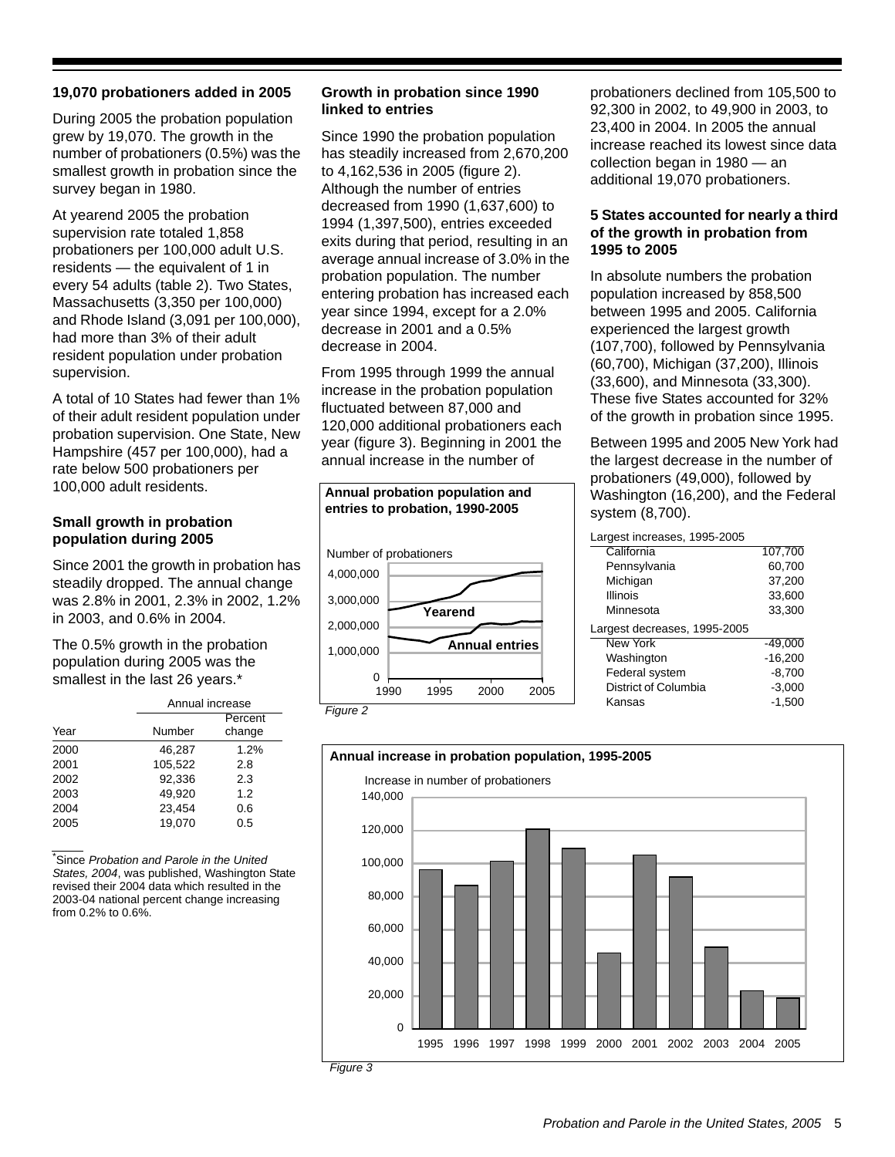#### **19,070 probationers added in 2005**

During 2005 the probation population grew by 19,070. The growth in the number of probationers (0.5%) was the smallest growth in probation since the survey began in 1980.

At yearend 2005 the probation supervision rate totaled 1,858 probationers per 100,000 adult U.S. residents — the equivalent of 1 in every 54 adults (table 2). Two States, Massachusetts (3,350 per 100,000) and Rhode Island (3,091 per 100,000), had more than 3% of their adult resident population under probation supervision.

A total of 10 States had fewer than 1% of their adult resident population under probation supervision. One State, New Hampshire (457 per 100,000), had a rate below 500 probationers per 100,000 adult residents.

#### **Small growth in probation population during 2005**

Since 2001 the growth in probation has steadily dropped. The annual change was 2.8% in 2001, 2.3% in 2002, 1.2% in 2003, and 0.6% in 2004.

The 0.5% growth in the probation population during 2005 was the smallest in the last 26 years.\*

|      | Annual increase |                   |  |  |  |
|------|-----------------|-------------------|--|--|--|
| Year | Number          | Percent<br>change |  |  |  |
| 2000 | 46,287          | 1.2%              |  |  |  |
| 2001 | 105.522         | 2.8               |  |  |  |
| 2002 | 92.336          | 2.3               |  |  |  |
| 2003 | 49.920          | 1.2               |  |  |  |
| 2004 | 23,454          | 0.6               |  |  |  |
| 2005 | 19.070          | 0.5               |  |  |  |

\* Since *Probation and Parole in the United States, 2004*, was published, Washington State revised their 2004 data which resulted in the 2003-04 national percent change increasing from 0.2% to 0.6%.

#### **Growth in probation since 1990 linked to entries**

Since 1990 the probation population has steadily increased from 2,670,200 to 4,162,536 in 2005 (figure 2). Although the number of entries decreased from 1990 (1,637,600) to 1994 (1,397,500), entries exceeded exits during that period, resulting in an average annual increase of 3.0% in the probation population. The number entering probation has increased each year since 1994, except for a 2.0% decrease in 2001 and a 0.5% decrease in 2004.

From 1995 through 1999 the annual increase in the probation population fluctuated between 87,000 and 120,000 additional probationers each year (figure 3). Beginning in 2001 the annual increase in the number of



probationers declined from 105,500 to 92,300 in 2002, to 49,900 in 2003, to 23,400 in 2004. In 2005 the annual increase reached its lowest since data collection began in 1980 — an additional 19,070 probationers.

#### **5 States accounted for nearly a third of the growth in probation from 1995 to 2005**

In absolute numbers the probation population increased by 858,500 between 1995 and 2005. California experienced the largest growth (107,700), followed by Pennsylvania (60,700), Michigan (37,200), Illinois (33,600), and Minnesota (33,300). These five States accounted for 32% of the growth in probation since 1995.

Between 1995 and 2005 New York had the largest decrease in the number of probationers (49,000), followed by Washington (16,200), and the Federal system (8,700).

| Largest increases, 1995-2005 |           |
|------------------------------|-----------|
| California                   | 107,700   |
| Pennsylvania                 | 60,700    |
| Michigan                     | 37,200    |
| <b>Illinois</b>              | 33,600    |
| Minnesota                    | 33,300    |
|                              |           |
| Largest decreases, 1995-2005 |           |
| New York                     | $-49.000$ |
| Washington                   | $-16,200$ |
| Federal system               | $-8,700$  |
| District of Columbia         | $-3,000$  |
| Kansas                       | $-1,500$  |

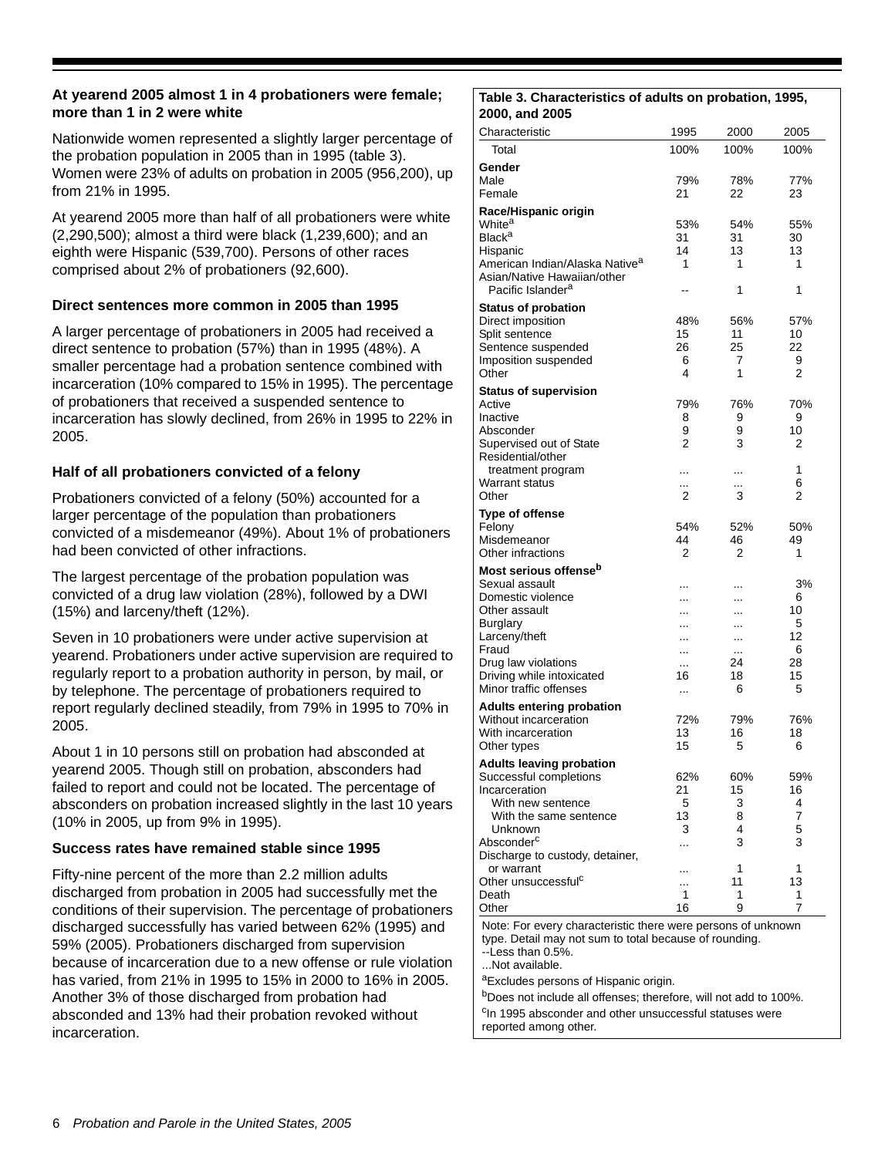#### **At yearend 2005 almost 1 in 4 probationers were female; more than 1 in 2 were white**

Nationwide women represented a slightly larger percentage of the probation population in 2005 than in 1995 (table 3). Women were 23% of adults on probation in 2005 (956,200), up from 21% in 1995.

At yearend 2005 more than half of all probationers were white (2,290,500); almost a third were black (1,239,600); and an eighth were Hispanic (539,700). Persons of other races comprised about 2% of probationers (92,600).

#### **Direct sentences more common in 2005 than 1995**

A larger percentage of probationers in 2005 had received a direct sentence to probation (57%) than in 1995 (48%). A smaller percentage had a probation sentence combined with incarceration (10% compared to 15% in 1995). The percentage of probationers that received a suspended sentence to incarceration has slowly declined, from 26% in 1995 to 22% in 2005.

#### **Half of all probationers convicted of a felony**

Probationers convicted of a felony (50%) accounted for a larger percentage of the population than probationers convicted of a misdemeanor (49%). About 1% of probationers had been convicted of other infractions.

The largest percentage of the probation population was convicted of a drug law violation (28%), followed by a DWI (15%) and larceny/theft (12%).

Seven in 10 probationers were under active supervision at yearend. Probationers under active supervision are required to regularly report to a probation authority in person, by mail, or by telephone. The percentage of probationers required to report regularly declined steadily, from 79% in 1995 to 70% in 2005.

About 1 in 10 persons still on probation had absconded at yearend 2005. Though still on probation, absconders had failed to report and could not be located. The percentage of absconders on probation increased slightly in the last 10 years (10% in 2005, up from 9% in 1995).

#### **Success rates have remained stable since 1995**

Fifty-nine percent of the more than 2.2 million adults discharged from probation in 2005 had successfully met the conditions of their supervision. The percentage of probationers discharged successfully has varied between 62% (1995) and 59% (2005). Probationers discharged from supervision because of incarceration due to a new offense or rule violation has varied, from 21% in 1995 to 15% in 2000 to 16% in 2005. Another 3% of those discharged from probation had absconded and 13% had their probation revoked without incarceration.

#### **Table 3. Characteristics of adults on probation, 1995, 2000, and 2005**

| 2000, and 2005                                               |               |           |           |
|--------------------------------------------------------------|---------------|-----------|-----------|
| Characteristic                                               | 1995          | 2000      | 2005      |
| Total                                                        | 100%          | 100%      | 100%      |
| Gender                                                       |               |           |           |
| Male                                                         | 79%           | 78%       | 77%       |
| Female                                                       | 21            | 22        | 23        |
| Race/Hispanic origin                                         |               |           |           |
| White <sup>a</sup>                                           | 53%           | 54%       | 55%       |
| <b>Black<sup>a</sup></b>                                     | 31<br>14      | 31<br>13  | 30<br>13  |
| Hispanic<br>American Indian/Alaska Native <sup>a</sup>       | 1             | 1         | 1         |
| Asian/Native Hawaiian/other                                  |               |           |           |
| Pacific Islander <sup>a</sup>                                | --            | 1         | 1         |
| <b>Status of probation</b>                                   |               |           |           |
| Direct imposition                                            | 48%           | 56%       | 57%       |
| Split sentence                                               | 15            | 11        | 10        |
| Sentence suspended<br>Imposition suspended                   | 26<br>6       | 25<br>7   | 22<br>9   |
| Other                                                        | 4             | 1         | 2         |
| <b>Status of supervision</b>                                 |               |           |           |
| Active                                                       | 79%           | 76%       | 70%       |
| Inactive                                                     | 8             | 9         | 9         |
| Absconder                                                    | 9             | 9         | 10        |
| Supervised out of State                                      | 2             | 3         | 2         |
| Residential/other<br>treatment program                       | .             | .         | 1         |
| <b>Warrant status</b>                                        |               | $\cdots$  | 6         |
| Other                                                        | 2             | 3         | 2         |
| <b>Type of offense</b>                                       |               |           |           |
| Felony                                                       | 54%           | 52%       | 50%       |
| Misdemeanor                                                  | 44            | 46        | 49        |
| Other infractions                                            | 2             | 2         | 1         |
| Most serious offense <sup>b</sup>                            |               |           |           |
| Sexual assault<br>Domestic violence                          | .<br>$\cdots$ | <br>      | 3%<br>6   |
| Other assault                                                | $\cdots$      | $\cdots$  | 10        |
| Burglary                                                     | $\cdot$       |           | 5         |
| Larceny/theft                                                | $\cdot$       |           | 12        |
| Fraud                                                        | $\cdot \cdot$ |           | 6<br>28   |
| Drug law violations<br>Driving while intoxicated             | .<br>16       | 24<br>18  | 15        |
| Minor traffic offenses                                       | $\cdots$      | 6         | 5         |
| <b>Adults entering probation</b>                             |               |           |           |
| Without incarceration                                        | 72%           | 79%       | 76%       |
| With incarceration                                           | 13            | 16        | 18        |
| Other types                                                  | 15            | 5         | 6         |
| <b>Adults leaving probation</b>                              |               |           |           |
| Successful completions<br>Incarceration                      | 62%<br>21     | 60%<br>15 | 59%<br>16 |
| With new sentence                                            | 5             | 3         | 4         |
| With the same sentence                                       | 13            | 8         | 7         |
| Unknown                                                      | 3             | 4         | 5         |
| Absconder <sup>c</sup>                                       | .             | 3         | 3         |
| Discharge to custody, detainer,                              |               |           |           |
| or warrant<br>Other unsuccessful <sup>c</sup>                | .<br>.        | 1<br>11   | 1<br>13   |
| Death                                                        | 1             | 1         | 1         |
| Other                                                        | 16            | 9         | 7         |
| Note: For every characteristic there were persons of unknown |               |           |           |

Note: For every characteristic there were persons of unknown type. Detail may not sum to total because of rounding.

--Less than 0.5%.

...Not available.

aExcludes persons of Hispanic origin.

bDoes not include all offenses; therefore, will not add to 100%. <sup>c</sup>In 1995 absconder and other unsuccessful statuses were reported among other.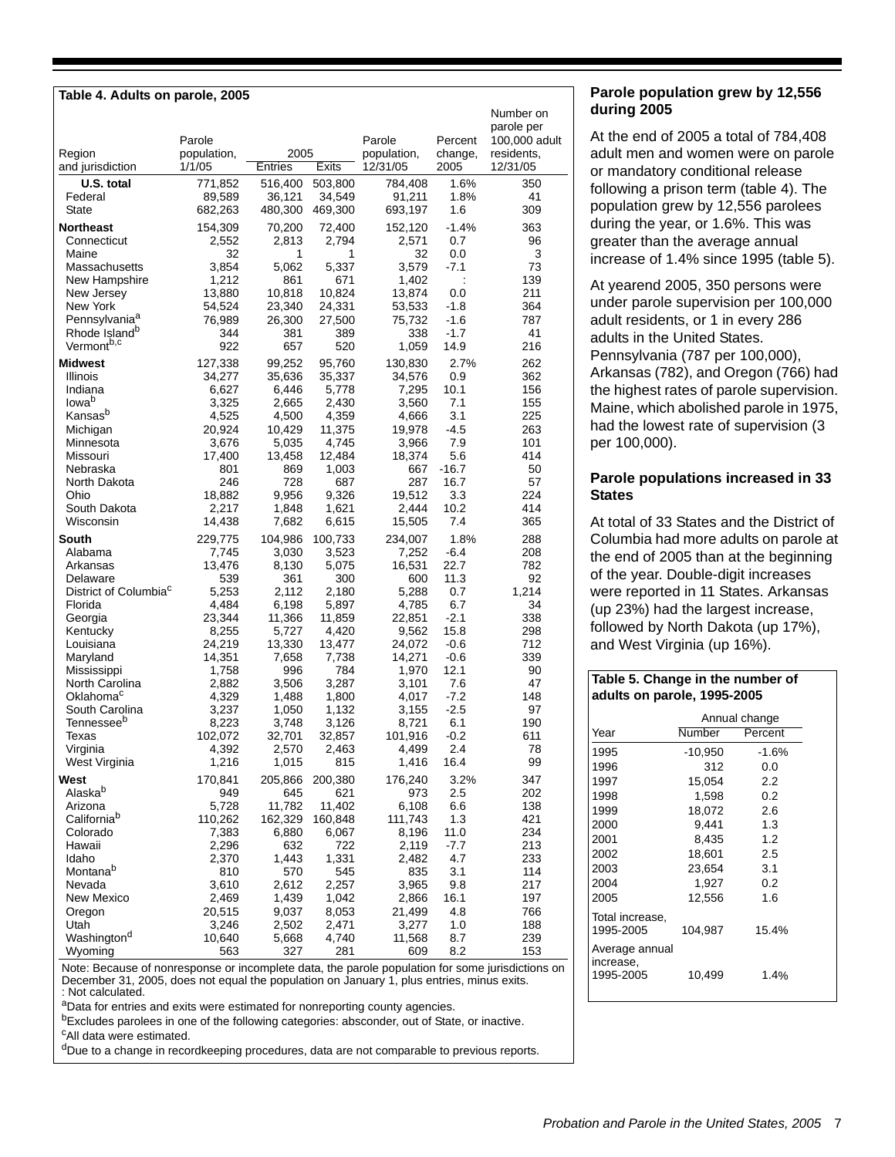| Table 4. Adults on parole, 2005          |                                 |                 |                 |                                   |                            |                                                                    |
|------------------------------------------|---------------------------------|-----------------|-----------------|-----------------------------------|----------------------------|--------------------------------------------------------------------|
| Region<br>and jurisdiction               | Parole<br>population,<br>1/1/05 | 2005<br>Entries | Exits           | Parole<br>population,<br>12/31/05 | Percent<br>change,<br>2005 | Number on<br>parole per<br>100,000 adult<br>residents,<br>12/31/05 |
| U.S. total                               | 771,852                         | 516,400         | 503,800         | 784,408                           | 1.6%                       | 350                                                                |
| Federal                                  | 89,589                          | 36,121          | 34,549          | 91,211                            | 1.8%                       | 41                                                                 |
| <b>State</b>                             | 682,263                         | 480,300         | 469,300         | 693,197                           | 1.6                        | 309                                                                |
| <b>Northeast</b>                         | 154,309                         | 70,200          | 72,400          | 152,120                           | $-1.4%$                    | 363                                                                |
| Connecticut                              | 2,552                           | 2,813           | 2,794           | 2,571                             | 0.7                        | 96                                                                 |
| Maine                                    | 32                              | 1               | 1               | 32                                | 0.0                        | 3                                                                  |
| Massachusetts                            | 3,854                           | 5,062           | 5,337           | 3,579                             | $-7.1$                     | 73                                                                 |
| New Hampshire                            | 1,212                           | 861             | 671             | 1,402                             |                            | 139                                                                |
| New Jersey                               | 13,880                          | 10,818          | 10,824          | 13,874                            | 0.0                        | 211                                                                |
| New York                                 | 54,524                          | 23,340          | 24,331          | 53,533                            | $-1.8$                     | 364                                                                |
| Pennsylvania <sup>a</sup>                | 76,989                          | 26,300          | 27,500          | 75,732                            | $-1.6$                     | 787                                                                |
| Rhode Island <sup>b</sup>                | 344                             | 381             | 389             | 338                               | $-1.7$                     | 41                                                                 |
| Vermont <sup>b,c</sup>                   | 922                             | 657             | 520             | 1,059                             | 14.9                       | 216                                                                |
| <b>Midwest</b>                           | 127,338                         | 99,252          | 95,760          | 130,830                           | 2.7%                       | 262                                                                |
| Illinois                                 | 34,277                          | 35,636          | 35,337          | 34,576                            | 0.9                        | 362                                                                |
| Indiana                                  | 6,627                           | 6,446           | 5,778           | 7,295                             | 10.1                       | 156                                                                |
| lowa <sup>b</sup><br>Kansas <sup>b</sup> | 3,325                           | 2,665           | 2,430           | 3,560                             | 7.1                        | 155                                                                |
| Michigan                                 | 4,525<br>20,924                 | 4,500<br>10,429 | 4,359<br>11,375 | 4,666<br>19,978                   | 3.1<br>$-4.5$              | 225<br>263                                                         |
| Minnesota                                | 3,676                           | 5,035           | 4,745           | 3,966                             | 7.9                        | 101                                                                |
| Missouri                                 | 17,400                          | 13,458          | 12,484          | 18,374                            | 5.6                        | 414                                                                |
| Nebraska                                 | 801                             | 869             | 1,003           | 667                               | $-16.7$                    | 50                                                                 |
| North Dakota                             | 246                             | 728             | 687             | 287                               | 16.7                       | 57                                                                 |
| Ohio                                     | 18,882                          | 9,956           | 9,326           | 19.512                            | 3.3                        | 224                                                                |
| South Dakota                             | 2,217                           | 1,848           | 1,621           | 2,444                             | 10.2                       | 414                                                                |
| Wisconsin                                | 14,438                          | 7,682           | 6,615           | 15,505                            | 7.4                        | 365                                                                |
| South                                    | 229,775                         | 104,986         | 100,733         | 234,007                           | 1.8%                       | 288                                                                |
| Alabama                                  | 7,745                           | 3,030<br>8,130  | 3,523           | 7,252<br>16,531                   | $-6.4$<br>22.7             | 208<br>782                                                         |
| Arkansas<br>Delaware                     | 13,476<br>539                   | 361             | 5,075<br>300    | 600                               | 11.3                       | 92                                                                 |
| District of Columbia <sup>c</sup>        | 5,253                           | 2,112           | 2,180           | 5,288                             | 0.7                        | 1,214                                                              |
| Florida                                  | 4,484                           | 6,198           | 5,897           | 4,785                             | 6.7                        | 34                                                                 |
| Georgia                                  | 23,344                          | 11,366          | 11,859          | 22,851                            | $-2.1$                     | 338                                                                |
| Kentucky                                 | 8,255                           | 5,727           | 4,420           | 9,562                             | 15.8                       | 298                                                                |
| Louisiana                                | 24,219                          | 13,330          | 13,477          | 24,072                            | $-0.6$                     | 712                                                                |
| Maryland                                 | 14,351                          | 7,658           | 7,738           | 14,271                            | $-0.6$                     | 339                                                                |
| Mississippi                              | 1,758                           | 996             | 784             | 1,970                             | 12.1                       | 90                                                                 |
| North Carolina<br>Oklahoma <sup>c</sup>  | 2,882<br>4,329                  | 3,506           | 3,287<br>1,800  | 3,101                             | 7.6<br>$-7.2$              | 47<br>148                                                          |
| South Carolina                           | 3,237                           | 1,488<br>1,050  | 1,132           | 4,017<br>3,155                    | $-2.5$                     | 97                                                                 |
| Tennessee <sup>b</sup>                   | 8,223                           | 3,748           | 3,126           | 8,721                             | 6.1                        | 190                                                                |
| Texas                                    | 102,072                         | 32,701          | 32,857          | 101,916                           | $-0.2$                     | 611                                                                |
| Virginia                                 | 4,392                           | 2,570           | 2,463           | 4,499                             | 2.4                        | 78                                                                 |
| West Virginia                            | 1,216                           | 1,015           | 815             | 1,416                             | 16.4                       | 99                                                                 |
| West                                     | 170,841                         | 205,866         | 200,380         | 176,240                           | 3.2%                       | 347                                                                |
| Alaskab                                  | 949                             | 645             | 621             | 973                               | 2.5                        | 202                                                                |
| Arizona                                  | 5,728                           | 11,782          | 11,402          | 6,108                             | 6.6                        | 138                                                                |
| California <sup>b</sup>                  | 110,262                         | 162,329         | 160,848         | 111,743                           | 1.3                        | 421                                                                |
| Colorado<br>Hawaii                       | 7,383<br>2,296                  | 6,880<br>632    | 6,067<br>722    | 8,196<br>2,119                    | 11.0<br>$-7.7$             | 234<br>213                                                         |
| Idaho                                    | 2,370                           | 1,443           | 1,331           | 2,482                             | 4.7                        | 233                                                                |
| Montanab                                 | 810                             | 570             | 545             | 835                               | 3.1                        | 114                                                                |
| Nevada                                   | 3,610                           | 2,612           | 2,257           | 3,965                             | 9.8                        | 217                                                                |
| New Mexico                               | 2,469                           | 1,439           | 1,042           | 2,866                             | 16.1                       | 197                                                                |
| Oregon                                   | 20,515                          | 9,037           | 8,053           | 21,499                            | 4.8                        | 766                                                                |
| Utah                                     | 3,246                           | 2,502           | 2,471           | 3,277                             | 1.0                        | 188                                                                |
| Washington <sup>d</sup><br>Wyoming       | 10,640<br>563                   | 5,668<br>327    | 4,740<br>281    | 11,568<br>609                     | 8.7<br>8.2                 | 239<br>153                                                         |
|                                          |                                 |                 |                 |                                   |                            |                                                                    |

Note: Because of nonresponse or incomplete data, the parole population for some jurisdictions on December 31, 2005, does not equal the population on January 1, plus entries, minus exits. : Not calculated.

aData for entries and exits were estimated for nonreporting county agencies.

bExcludes parolees in one of the following categories: absconder, out of State, or inactive.

cAll data were estimated.

<sup>d</sup>Due to a change in recordkeeping procedures, data are not comparable to previous reports.

#### **Parole population grew by 12,556 during 2005**

At the end of 2005 a total of 784,408 adult men and women were on parole or mandatory conditional release following a prison term (table 4). The population grew by 12,556 parolees during the year, or 1.6%. This was greater than the average annual increase of 1.4% since 1995 (table 5).

At yearend 2005, 350 persons were under parole supervision per 100,000 adult residents, or 1 in every 286 adults in the United States. Pennsylvania (787 per 100,000), Arkansas (782), and Oregon (766) had the highest rates of parole supervision. Maine, which abolished parole in 1975, had the lowest rate of supervision (3 per 100,000).

#### **Parole populations increased in 33 States**

At total of 33 States and the District of Columbia had more adults on parole at the end of 2005 than at the beginning of the year. Double-digit increases were reported in 11 States. Arkansas (up 23%) had the largest increase, followed by North Dakota (up 17%), and West Virginia (up 16%).

#### **Table 5. Change in the number of adults on parole, 1995-2005**

|                                          | Annual change |         |  |  |  |
|------------------------------------------|---------------|---------|--|--|--|
| Year                                     | Number        | Percent |  |  |  |
| 1995                                     | $-10,950$     | $-1.6%$ |  |  |  |
| 1996                                     | 312           | 0.0     |  |  |  |
| 1997                                     | 15,054        | 2.2     |  |  |  |
| 1998                                     | 1,598         | 0.2     |  |  |  |
| 1999                                     | 18.072        | 2.6     |  |  |  |
| 2000                                     | 9,441         | 1.3     |  |  |  |
| 2001                                     | 8,435         | 1.2     |  |  |  |
| 2002                                     | 18.601        | 2.5     |  |  |  |
| 2003                                     | 23,654        | 3.1     |  |  |  |
| 2004                                     | 1,927         | 0.2     |  |  |  |
| 2005                                     | 12,556        | 1.6     |  |  |  |
| Total increase.<br>1995-2005             | 104.987       | 15.4%   |  |  |  |
| Average annual<br>increase,<br>1995-2005 | 10,499        | $1.4\%$ |  |  |  |
|                                          |               |         |  |  |  |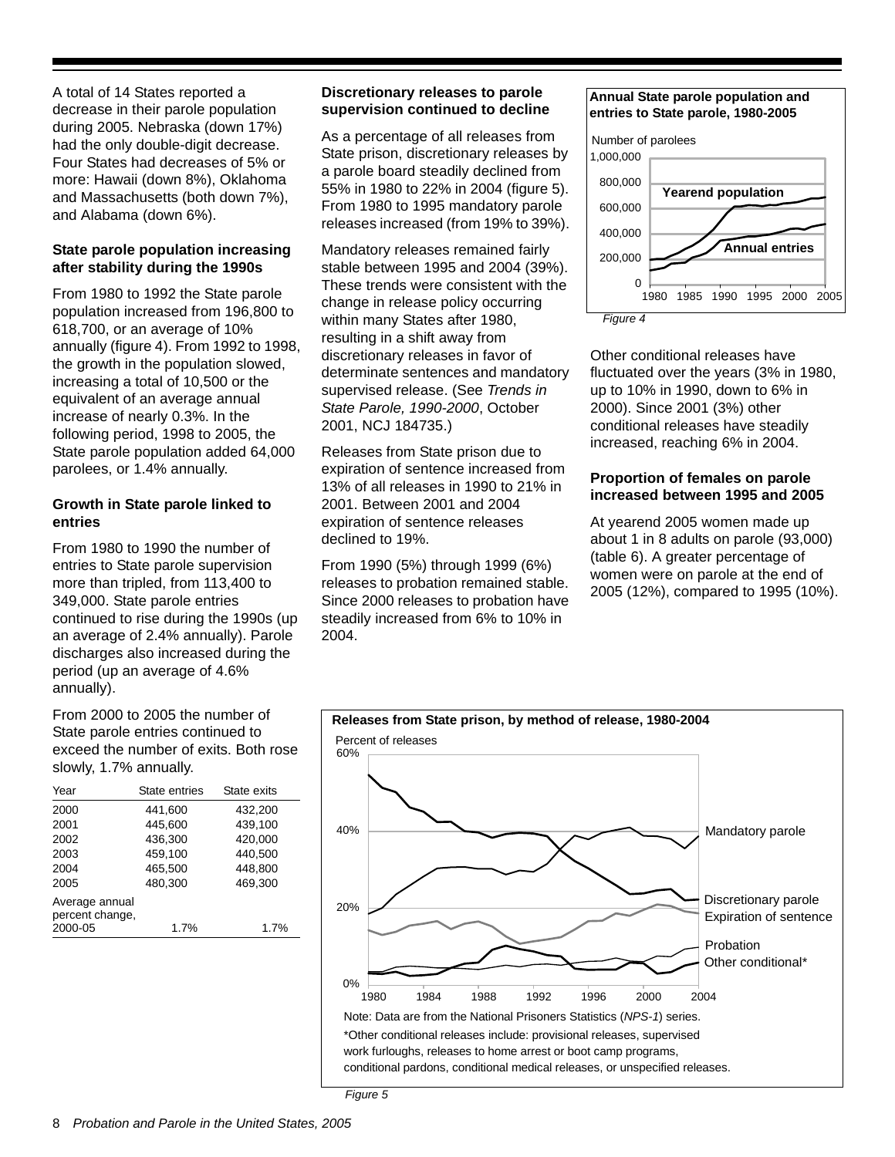A total of 14 States reported a decrease in their parole population during 2005. Nebraska (down 17%) had the only double-digit decrease. Four States had decreases of 5% or more: Hawaii (down 8%), Oklahoma and Massachusetts (both down 7%), and Alabama (down 6%).

#### **State parole population increasing after stability during the 1990s**

From 1980 to 1992 the State parole population increased from 196,800 to 618,700, or an average of 10% annually (figure 4). From 1992 to 1998, the growth in the population slowed, increasing a total of 10,500 or the equivalent of an average annual increase of nearly 0.3%. In the following period, 1998 to 2005, the State parole population added 64,000 parolees, or 1.4% annually.

#### **Growth in State parole linked to entries**

From 1980 to 1990 the number of entries to State parole supervision more than tripled, from 113,400 to 349,000. State parole entries continued to rise during the 1990s (up an average of 2.4% annually). Parole discharges also increased during the period (up an average of 4.6% annually).

From 2000 to 2005 the number of State parole entries continued to exceed the number of exits. Both rose slowly, 1.7% annually.

| Year                              | State entries | State exits |
|-----------------------------------|---------------|-------------|
| 2000                              | 441,600       | 432,200     |
| 2001                              | 445,600       | 439,100     |
| 2002                              | 436.300       | 420.000     |
| 2003                              | 459,100       | 440,500     |
| 2004                              | 465,500       | 448,800     |
| 2005                              | 480.300       | 469.300     |
| Average annual<br>percent change, |               |             |
| 2000-05                           | 1.7%          | 1.7%        |
|                                   |               |             |

#### **Discretionary releases to parole supervision continued to decline**

As a percentage of all releases from State prison, discretionary releases by a parole board steadily declined from 55% in 1980 to 22% in 2004 (figure 5). From 1980 to 1995 mandatory parole releases increased (from 19% to 39%).

Mandatory releases remained fairly stable between 1995 and 2004 (39%). These trends were consistent with the change in release policy occurring within many States after 1980, resulting in a shift away from discretionary releases in favor of determinate sentences and mandatory supervised release. (See *Trends in State Parole, 1990-2000*, October 2001, NCJ 184735.)

Releases from State prison due to expiration of sentence increased from 13% of all releases in 1990 to 21% in 2001. Between 2001 and 2004 expiration of sentence releases declined to 19%.

From 1990 (5%) through 1999 (6%) releases to probation remained stable. Since 2000 releases to probation have steadily increased from 6% to 10% in 2004.

#### **Annual State parole population and entries to State parole, 1980-2005**





Other conditional releases have fluctuated over the years (3% in 1980, up to 10% in 1990, down to 6% in 2000). Since 2001 (3%) other conditional releases have steadily increased, reaching 6% in 2004.

#### **Proportion of females on parole increased between 1995 and 2005**

At yearend 2005 women made up about 1 in 8 adults on parole (93,000) (table 6). A greater percentage of women were on parole at the end of 2005 (12%), compared to 1995 (10%).



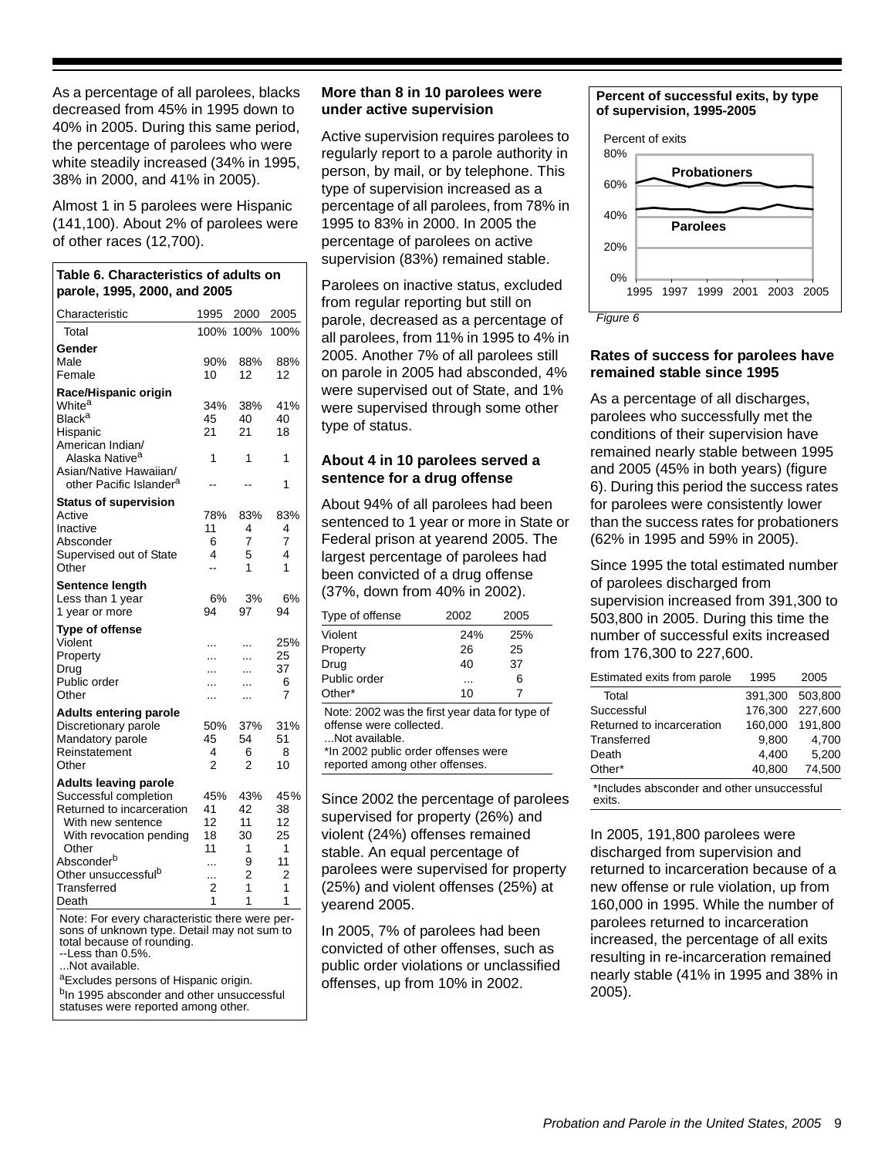As a percentage of all parolees, blacks decreased from 45% in 1995 down to 40% in 2005. During this same period, the percentage of parolees who were white steadily increased (34% in 1995, 38% in 2000, and 41% in 2005).

Almost 1 in 5 parolees were Hispanic (141,100). About 2% of parolees were of other races (12,700).

| Table 6. Characteristics of adults on<br>parole, 1995, 2000, and 2005                                                                                                                                                   |                                           |                                           |                                            |  |  |
|-------------------------------------------------------------------------------------------------------------------------------------------------------------------------------------------------------------------------|-------------------------------------------|-------------------------------------------|--------------------------------------------|--|--|
| Characteristic                                                                                                                                                                                                          | 1995                                      | 2000                                      | 2005                                       |  |  |
| Total                                                                                                                                                                                                                   | 100%                                      | 100%                                      | 100%                                       |  |  |
| Gender<br>Male<br>Female                                                                                                                                                                                                | 90%<br>10                                 | 88%<br>12                                 | 88%<br>12                                  |  |  |
| Race/Hispanic origin<br>White <sup>a</sup><br>Black <sup>a</sup><br>Hispanic<br>American Indian/                                                                                                                        | 34%<br>45<br>21                           | 38%<br>40<br>21                           | 41%<br>40<br>18                            |  |  |
| Alaska Native <sup>a</sup><br>Asian/Native Hawaiian/<br>other Pacific Islander <sup>a</sup>                                                                                                                             | 1                                         | 1                                         | 1<br>1                                     |  |  |
| <b>Status of supervision</b><br>Active<br>Inactive<br>Absconder<br>Supervised out of State<br>Other                                                                                                                     | 78%<br>11<br>6<br>4<br>$\overline{a}$     | 83%<br>4<br>7<br>5<br>1                   | 83%<br>4<br>$\overline{7}$<br>4<br>1       |  |  |
| Sentence length<br>Less than 1 year<br>1 year or more                                                                                                                                                                   | 6%<br>94                                  | 3%<br>97                                  | 6%<br>94                                   |  |  |
| <b>Type of offense</b><br>Violent<br>Property<br>Drug<br>Public order<br>Other                                                                                                                                          | .<br>$\ddotsc$<br>$\ddotsc$<br>.<br>.     | .<br>$\ddotsc$<br>$\ddotsc$<br>.<br>.     | 25%<br>25<br>37<br>6<br>7                  |  |  |
| <b>Adults entering parole</b><br>Discretionary parole<br>Mandatory parole<br>Reinstatement<br>Other                                                                                                                     | 50%<br>45<br>4<br>$\overline{2}$          | 37%<br>54<br>6<br>2                       | 31%<br>51<br>8<br>10                       |  |  |
| <b>Adults leaving parole</b><br>Successful completion<br>Returned to incarceration<br>With new sentence<br>With revocation pending<br>Other<br>Absconder <sup>b</sup><br>Other unsuccessful <sup>b</sup><br>Transferred | 45%<br>41<br>12<br>18<br>11<br>.<br><br>2 | 43%<br>42<br>11<br>30<br>1<br>9<br>2<br>1 | 45%<br>38<br>12<br>25<br>1<br>11<br>2<br>1 |  |  |
| Death                                                                                                                                                                                                                   | 1                                         | 1                                         | 1                                          |  |  |

Note: For every characteristic there were persons of unknown type. Detail may not sum to total because of rounding.

 $-$ Less than  $0.5%$ .

...Not available.

aExcludes persons of Hispanic origin.

b<sub>In</sub> 1995 absconder and other unsuccessful statuses were reported among other.

#### **More than 8 in 10 parolees were under active supervision**

Active supervision requires parolees to regularly report to a parole authority in person, by mail, or by telephone. This type of supervision increased as a percentage of all parolees, from 78% in 1995 to 83% in 2000. In 2005 the percentage of parolees on active supervision (83%) remained stable.

Parolees on inactive status, excluded from regular reporting but still on parole, decreased as a percentage of all parolees, from 11% in 1995 to 4% in 2005. Another 7% of all parolees still on parole in 2005 had absconded, 4% were supervised out of State, and 1% were supervised through some other type of status.

#### **About 4 in 10 parolees served a sentence for a drug offense**

About 94% of all parolees had been sentenced to 1 year or more in State or Federal prison at yearend 2005. The largest percentage of parolees had been convicted of a drug offense (37%, down from 40% in 2002).

| Type of offense | 2002 | 2005 |  |
|-----------------|------|------|--|
| Violent         | 24%  | 25%  |  |
| Property        | 26   | 25   |  |
| Drug            | 40   | 37   |  |
| Public order    |      | 6    |  |
| Other*          | 10   |      |  |

Note: 2002 was the first year data for type of offense were collected. ...Not available.

\*In 2002 public order offenses were reported among other offenses.

Since 2002 the percentage of parolees supervised for property (26%) and violent (24%) offenses remained stable. An equal percentage of parolees were supervised for property (25%) and violent offenses (25%) at yearend 2005.

In 2005, 7% of parolees had been convicted of other offenses, such as public order violations or unclassified offenses, up from 10% in 2002.

#### **Percent of successful exits, by type of supervision, 1995-2005**



*Figure 6*

#### **Rates of success for parolees have remained stable since 1995**

As a percentage of all discharges, parolees who successfully met the conditions of their supervision have remained nearly stable between 1995 and 2005 (45% in both years) (figure 6). During this period the success rates for parolees were consistently lower than the success rates for probationers (62% in 1995 and 59% in 2005).

Since 1995 the total estimated number of parolees discharged from supervision increased from 391,300 to 503,800 in 2005. During this time the number of successful exits increased from 176,300 to 227,600.

| Estimated exits from parole                                   | 1995    | 2005    |  |  |
|---------------------------------------------------------------|---------|---------|--|--|
| Total                                                         | 391.300 | 503.800 |  |  |
| Successful                                                    | 176.300 | 227.600 |  |  |
| Returned to incarceration                                     | 160.000 | 191.800 |  |  |
| Transferred                                                   | 9.800   | 4.700   |  |  |
| Death                                                         | 4.400   | 5,200   |  |  |
| Other*                                                        | 40,800  | 74,500  |  |  |
| ⊕la alcela a calca a a chaoista di arte a consecuenza del fol |         |         |  |  |

\*Includes absconder and other unsuccessful exits.

In 2005, 191,800 parolees were discharged from supervision and returned to incarceration because of a new offense or rule violation, up from 160,000 in 1995. While the number of parolees returned to incarceration increased, the percentage of all exits resulting in re-incarceration remained nearly stable (41% in 1995 and 38% in 2005).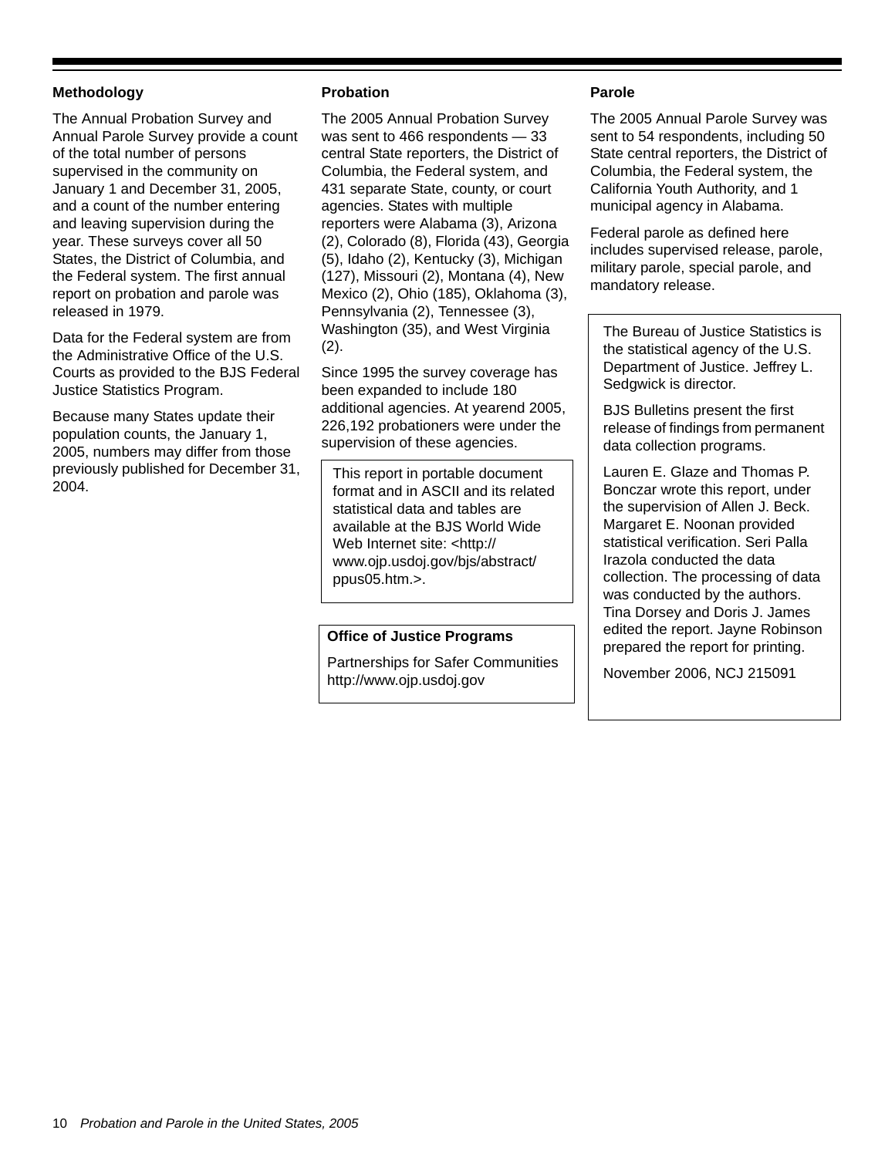#### **Methodology**

The Annual Probation Survey and Annual Parole Survey provide a count of the total number of persons supervised in the community on January 1 and December 31, 2005, and a count of the number entering and leaving supervision during the year. These surveys cover all 50 States, the District of Columbia, and the Federal system. The first annual report on probation and parole was released in 1979.

Data for the Federal system are from the Administrative Office of the U.S. Courts as provided to the BJS Federal Justice Statistics Program.

Because many States update their population counts, the January 1, 2005, numbers may differ from those previously published for December 31, 2004.

#### **Probation**

The 2005 Annual Probation Survey was sent to 466 respondents — 33 central State reporters, the District of Columbia, the Federal system, and 431 separate State, county, or court agencies. States with multiple reporters were Alabama (3), Arizona (2), Colorado (8), Florida (43), Georgia (5), Idaho (2), Kentucky (3), Michigan (127), Missouri (2), Montana (4), New Mexico (2), Ohio (185), Oklahoma (3), Pennsylvania (2), Tennessee (3), Washington (35), and West Virginia (2).

Since 1995 the survey coverage has been expanded to include 180 additional agencies. At yearend 2005, 226,192 probationers were under the supervision of these agencies.

This report in portable document format and in ASCII and its related statistical data and tables are available at the BJS World Wide Web Internet site: <http:// www.ojp.usdoj.gov/bjs/abstract/ ppus05.htm.>.

#### **Office of Justice Programs**

Partnerships for Safer Communities http://www.ojp.usdoj.gov

#### **Parole**

The 2005 Annual Parole Survey was sent to 54 respondents, including 50 State central reporters, the District of Columbia, the Federal system, the California Youth Authority, and 1 municipal agency in Alabama.

Federal parole as defined here includes supervised release, parole, military parole, special parole, and mandatory release.

The Bureau of Justice Statistics is the statistical agency of the U.S. Department of Justice. Jeffrey L. Sedgwick is director.

BJS Bulletins present the first release of findings from permanent data collection programs.

Lauren E. Glaze and Thomas P. Bonczar wrote this report, under the supervision of Allen J. Beck. Margaret E. Noonan provided statistical verification. Seri Palla Irazola conducted the data collection. The processing of data was conducted by the authors. Tina Dorsey and Doris J. James edited the report. Jayne Robinson prepared the report for printing.

November 2006, NCJ 215091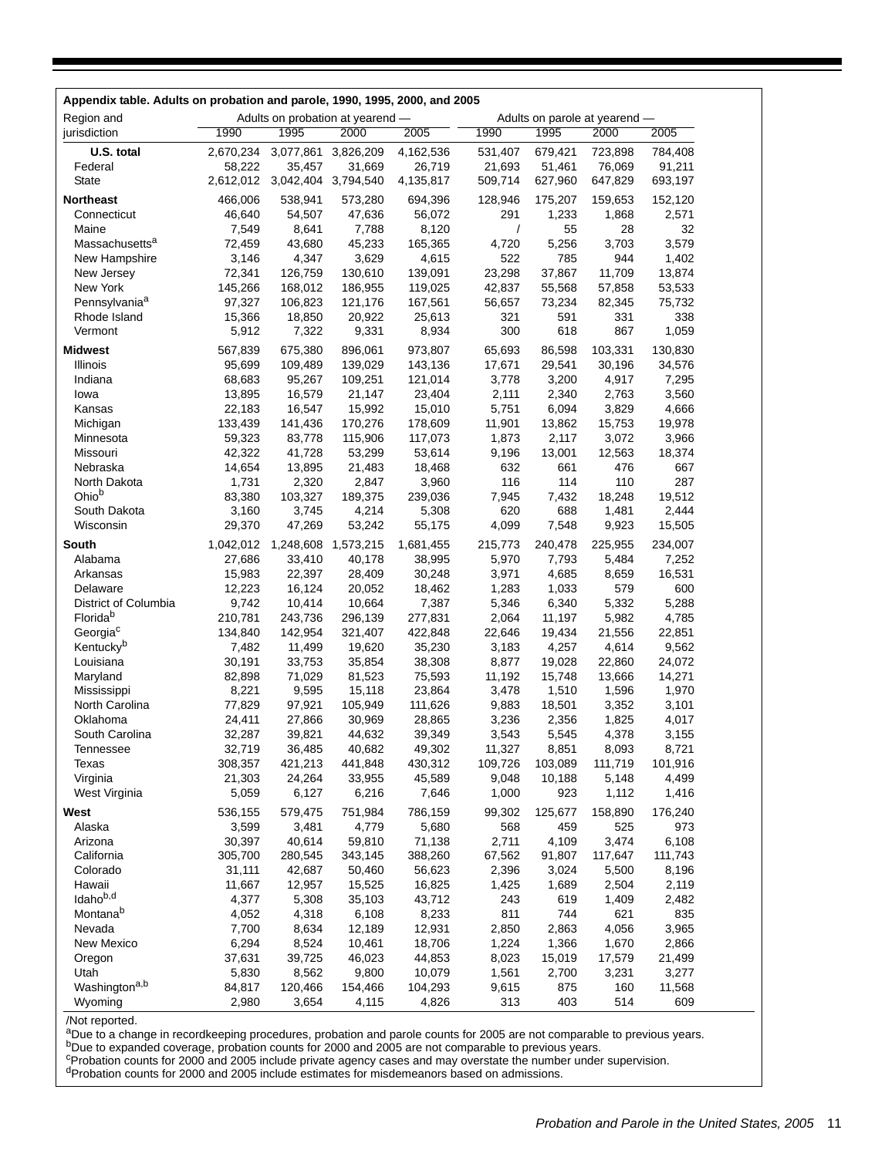| Appendix table. Adults on probation and parole, 1990, 1995, 2000, and 2005 |                   |                   |                                  |                  |                |                               |                |                 |
|----------------------------------------------------------------------------|-------------------|-------------------|----------------------------------|------------------|----------------|-------------------------------|----------------|-----------------|
| Region and                                                                 |                   |                   | Adults on probation at yearend - |                  |                | Adults on parole at yearend - |                |                 |
| jurisdiction                                                               | 1990              | 1995              | 2000                             | 2005             | 1990           | 1995                          | 2000           | 2005            |
| U.S. total                                                                 | 2,670,234         | 3,077,861         | 3,826,209                        | 4,162,536        | 531,407        | 679,421                       | 723,898        | 784,408         |
| Federal                                                                    | 58,222            | 35,457            | 31,669                           | 26,719           | 21,693         | 51,461                        | 76,069         | 91,211          |
| State                                                                      | 2,612,012         | 3,042,404         | 3,794,540                        | 4,135,817        | 509,714        | 627,960                       | 647,829        | 693,197         |
| <b>Northeast</b>                                                           | 466,006           | 538,941           | 573,280                          | 694,396          | 128,946        | 175,207                       | 159,653        | 152,120         |
| Connecticut                                                                | 46,640            | 54,507            | 47,636                           | 56,072           | 291            | 1,233                         | 1,868          | 2,571           |
| Maine                                                                      | 7,549             | 8,641             | 7,788                            | 8,120            | $\prime$       | 55                            | 28             | 32              |
| Massachusetts <sup>a</sup>                                                 | 72,459            | 43,680            | 45,233                           | 165,365          | 4,720          | 5,256                         | 3,703          | 3,579           |
| New Hampshire                                                              | 3,146             | 4,347             | 3,629                            | 4,615            | 522            | 785                           | 944            | 1,402           |
| New Jersey                                                                 | 72,341            | 126,759           | 130,610                          | 139,091          | 23,298         | 37,867                        | 11,709         | 13,874          |
| New York                                                                   | 145,266           | 168,012           | 186,955                          | 119,025          | 42,837         | 55,568                        | 57,858         | 53,533          |
| Pennsylvania <sup>a</sup>                                                  | 97,327            | 106,823           | 121,176                          | 167,561          | 56,657         | 73,234                        | 82,345         | 75,732          |
| Rhode Island                                                               | 15,366            | 18,850            | 20,922                           | 25,613           | 321<br>300     | 591<br>618                    | 331<br>867     | 338<br>1,059    |
| Vermont                                                                    | 5,912             | 7,322             | 9,331                            | 8,934            |                |                               |                |                 |
| <b>Midwest</b>                                                             | 567,839           | 675,380           | 896,061                          | 973,807          | 65,693         | 86,598                        | 103,331        | 130,830         |
| Illinois                                                                   | 95,699            | 109,489           | 139,029                          | 143,136          | 17,671         | 29,541                        | 30,196         | 34,576          |
| Indiana                                                                    | 68,683<br>13,895  | 95,267            | 109,251                          | 121,014          | 3,778          | 3,200                         | 4,917          | 7,295<br>3,560  |
| lowa<br>Kansas                                                             |                   | 16,579            | 21,147<br>15,992                 | 23,404<br>15,010 | 2,111<br>5,751 | 2,340<br>6,094                | 2,763<br>3,829 |                 |
| Michigan                                                                   | 22,183<br>133,439 | 16,547<br>141,436 | 170,276                          | 178,609          | 11,901         | 13,862                        | 15,753         | 4,666<br>19,978 |
| Minnesota                                                                  | 59,323            | 83,778            | 115,906                          | 117,073          | 1,873          | 2,117                         | 3,072          | 3,966           |
| Missouri                                                                   | 42,322            | 41,728            | 53,299                           | 53,614           | 9,196          | 13,001                        | 12,563         | 18,374          |
| Nebraska                                                                   | 14,654            | 13,895            | 21,483                           | 18,468           | 632            | 661                           | 476            | 667             |
| North Dakota                                                               | 1,731             | 2,320             | 2,847                            | 3,960            | 116            | 114                           | 110            | 287             |
| Ohio <sup>b</sup>                                                          | 83,380            | 103,327           | 189,375                          | 239,036          | 7,945          | 7,432                         | 18,248         | 19,512          |
| South Dakota                                                               | 3,160             | 3,745             | 4,214                            | 5,308            | 620            | 688                           | 1,481          | 2,444           |
| Wisconsin                                                                  | 29,370            | 47,269            | 53,242                           | 55,175           | 4,099          | 7,548                         | 9,923          | 15,505          |
| South                                                                      | 1,042,012         | 1,248,608         | 1,573,215                        | 1,681,455        | 215,773        | 240,478                       | 225,955        | 234,007         |
| Alabama                                                                    | 27,686            | 33,410            | 40,178                           | 38,995           | 5,970          | 7,793                         | 5,484          | 7,252           |
| Arkansas                                                                   | 15,983            | 22,397            | 28,409                           | 30,248           | 3,971          | 4,685                         | 8,659          | 16,531          |
| Delaware                                                                   | 12,223            | 16,124            | 20,052                           | 18,462           | 1,283          | 1,033                         | 579            | 600             |
| District of Columbia                                                       | 9,742             | 10,414            | 10,664                           | 7,387            | 5,346          | 6,340                         | 5,332          | 5,288           |
| Florida <sup>b</sup>                                                       | 210,781           | 243,736           | 296,139                          | 277,831          | 2,064          | 11,197                        | 5,982          | 4,785           |
| Georgia <sup>c</sup>                                                       | 134,840           | 142,954           | 321,407                          | 422,848          | 22,646         | 19,434                        | 21,556         | 22,851          |
| Kentucky <sup>b</sup>                                                      | 7,482             | 11,499            | 19,620                           | 35,230           | 3,183          | 4,257                         | 4,614          | 9,562           |
| Louisiana                                                                  | 30,191            | 33,753            | 35,854                           | 38,308           | 8,877          | 19,028                        | 22,860         | 24,072          |
| Maryland                                                                   | 82,898            | 71,029            | 81,523                           | 75,593           | 11,192         | 15,748                        | 13,666         | 14,271          |
| Mississippi                                                                | 8,221             | 9,595             | 15,118                           | 23,864           | 3,478          | 1,510                         | 1,596          | 1,970           |
| North Carolina<br>Oklahoma                                                 | 77,829<br>24,411  | 97,921            | 105,949                          | 111,626          | 9,883          | 18,501                        | 3,352          | 3,101           |
| South Carolina                                                             | 32,287            | 27,866<br>39,821  | 30,969<br>44,632                 | 28,865<br>39,349 | 3,236<br>3,543 | 2,356<br>5,545                | 1,825<br>4,378 | 4,017<br>3,155  |
| Tennessee                                                                  | 32,719            | 36,485            | 40,682                           | 49,302           | 11,327         | 8,851                         | 8,093          | 8,721           |
| Texas                                                                      | 308,357           | 421,213           | 441,848                          | 430,312          | 109,726        | 103,089                       | 111,719        | 101,916         |
| Virginia                                                                   | 21,303            | 24,264            | 33,955                           | 45,589           | 9,048          | 10,188                        | 5,148          | 4,499           |
| West Virginia                                                              | 5,059             | 6,127             | 6,216                            | 7,646            | 1,000          | 923                           | 1,112          | 1,416           |
| West                                                                       | 536,155           | 579,475           | 751,984                          | 786,159          | 99,302         | 125,677                       | 158,890        | 176,240         |
| Alaska                                                                     | 3,599             | 3,481             | 4,779                            | 5,680            | 568            | 459                           | 525            | 973             |
| Arizona                                                                    | 30,397            | 40,614            | 59,810                           | 71,138           | 2,711          | 4,109                         | 3,474          | 6,108           |
| California                                                                 | 305,700           | 280,545           | 343,145                          | 388,260          | 67,562         | 91,807                        | 117,647        | 111,743         |
| Colorado                                                                   | 31,111            | 42,687            | 50,460                           | 56,623           | 2,396          | 3,024                         | 5,500          | 8,196           |
| Hawaii                                                                     | 11,667            | 12,957            | 15,525                           | 16,825           | 1,425          | 1,689                         | 2,504          | 2,119           |
| Idaho <sup>b,d</sup>                                                       | 4,377             | 5,308             | 35,103                           | 43,712           | 243            | 619                           | 1,409          | 2,482           |
| Montana <sup>b</sup>                                                       | 4,052             | 4,318             | 6,108                            | 8,233            | 811            | 744                           | 621            | 835             |
| Nevada                                                                     | 7,700             | 8,634             | 12,189                           | 12,931           | 2,850          | 2,863                         | 4,056          | 3,965           |
| New Mexico                                                                 | 6,294             | 8,524             | 10,461                           | 18,706           | 1,224          | 1,366                         | 1,670          | 2,866           |
| Oregon                                                                     | 37,631            | 39,725            | 46,023                           | 44,853           | 8,023          | 15,019                        | 17,579         | 21,499          |
| Utah                                                                       | 5,830             | 8,562             | 9,800                            | 10,079           | 1,561          | 2,700                         | 3,231          | 3,277           |
| Washington <sup>a,b</sup>                                                  | 84,817            | 120,466           | 154,466                          | 104,293          | 9,615          | 875                           | 160            | 11,568          |
| Wyoming                                                                    | 2,980             | 3,654             | 4,115                            | 4,826            | 313            | 403                           | 514            | 609             |

/Not reported.<br><sup>a</sup>Due to a change in recordkeeping procedures, probation and parole counts for 2005 are not comparable to previous years.<br><sup>b</sup>Due to expanded coverage, probation counts for 2000 and 2005 are not comparable t